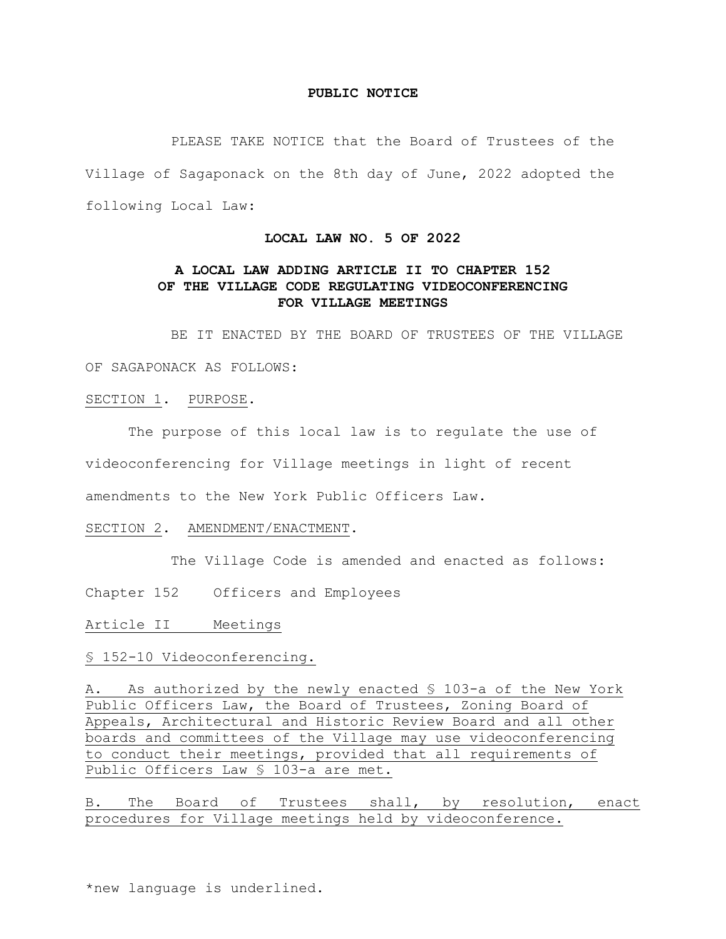### **PUBLIC NOTICE**

PLEASE TAKE NOTICE that the Board of Trustees of the Village of Sagaponack on the 8th day of June, 2022 adopted the following Local Law:

#### **LOCAL LAW NO. 5 OF 2022**

# **A LOCAL LAW ADDING ARTICLE II TO CHAPTER 152 OF THE VILLAGE CODE REGULATING VIDEOCONFERENCING FOR VILLAGE MEETINGS**

BE IT ENACTED BY THE BOARD OF TRUSTEES OF THE VILLAGE

OF SAGAPONACK AS FOLLOWS:

SECTION 1. PURPOSE.

The purpose of this local law is to regulate the use of videoconferencing for Village meetings in light of recent amendments to the New York Public Officers Law.

SECTION 2. AMENDMENT/ENACTMENT.

The Village Code is amended and enacted as follows:

Chapter 152 Officers and Employees

Article II Meetings

§ 152-10 Videoconferencing.

A. As authorized by the newly enacted § 103-a of the New York Public Officers Law, the Board of Trustees, Zoning Board of Appeals, Architectural and Historic Review Board and all other boards and committees of the Village may use videoconferencing to conduct their meetings, provided that all requirements of Public Officers Law § 103-a are met.

B. The Board of Trustees shall, by resolution, enact procedures for Village meetings held by videoconference.